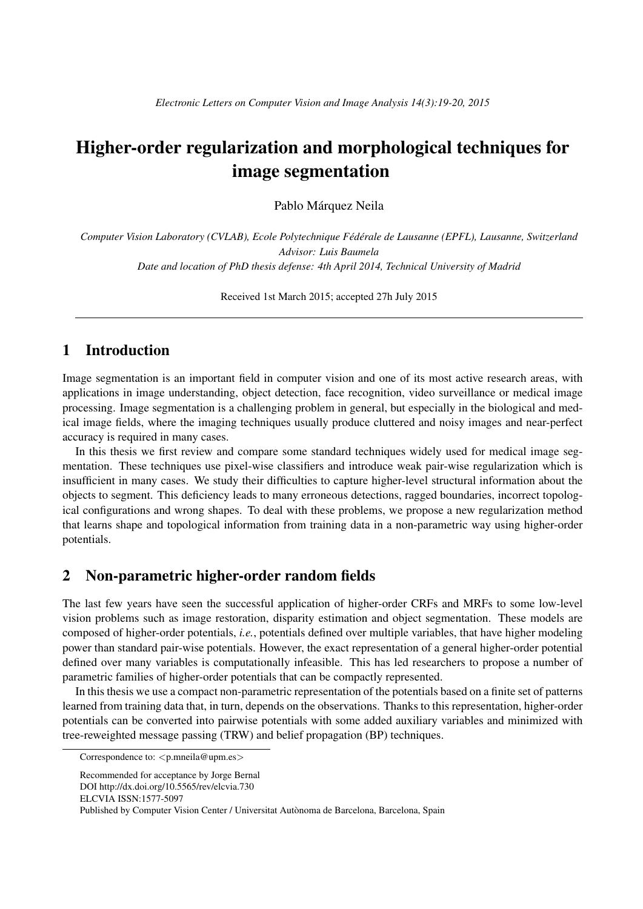# Higher-order regularization and morphological techniques for image segmentation

Pablo Márquez Neila

*Computer Vision Laboratory (CVLAB), Ecole Polytechnique Fédérale de Lausanne (EPFL), Lausanne, Switzerland Advisor: Luis Baumela Date and location of PhD thesis defense: 4th April 2014, Technical University of Madrid*

Received 1st March 2015; accepted 27h July 2015

## 1 Introduction

Image segmentation is an important field in computer vision and one of its most active research areas, with applications in image understanding, object detection, face recognition, video surveillance or medical image processing. Image segmentation is a challenging problem in general, but especially in the biological and medical image fields, where the imaging techniques usually produce cluttered and noisy images and near-perfect accuracy is required in many cases.

In this thesis we first review and compare some standard techniques widely used for medical image segmentation. These techniques use pixel-wise classifiers and introduce weak pair-wise regularization which is insufficient in many cases. We study their difficulties to capture higher-level structural information about the objects to segment. This deficiency leads to many erroneous detections, ragged boundaries, incorrect topological configurations and wrong shapes. To deal with these problems, we propose a new regularization method that learns shape and topological information from training data in a non-parametric way using higher-order potentials.

### 2 Non-parametric higher-order random fields

The last few years have seen the successful application of higher-order CRFs and MRFs to some low-level vision problems such as image restoration, disparity estimation and object segmentation. These models are composed of higher-order potentials, *i.e.*, potentials defined over multiple variables, that have higher modeling power than standard pair-wise potentials. However, the exact representation of a general higher-order potential defined over many variables is computationally infeasible. This has led researchers to propose a number of parametric families of higher-order potentials that can be compactly represented.

In this thesis we use a compact non-parametric representation of the potentials based on a finite set of patterns learned from training data that, in turn, depends on the observations. Thanks to this representation, higher-order potentials can be converted into pairwise potentials with some added auxiliary variables and minimized with tree-reweighted message passing (TRW) and belief propagation (BP) techniques.

Correspondence to: *<*p.mneila@upm.es*>*